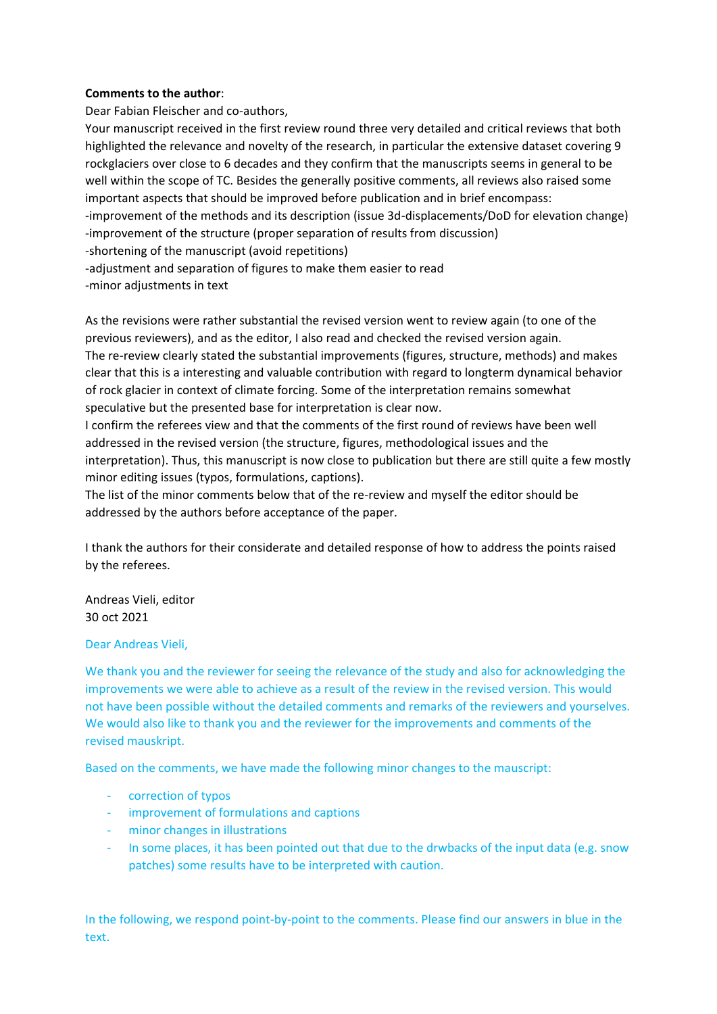## **Comments to the author**:

Dear Fabian Fleischer and co-authors,

Your manuscript received in the first review round three very detailed and critical reviews that both highlighted the relevance and novelty of the research, in particular the extensive dataset covering 9 rockglaciers over close to 6 decades and they confirm that the manuscripts seems in general to be well within the scope of TC. Besides the generally positive comments, all reviews also raised some important aspects that should be improved before publication and in brief encompass: -improvement of the methods and its description (issue 3d-displacements/DoD for elevation change) -improvement of the structure (proper separation of results from discussion)

-shortening of the manuscript (avoid repetitions)

-adjustment and separation of figures to make them easier to read

-minor adjustments in text

As the revisions were rather substantial the revised version went to review again (to one of the previous reviewers), and as the editor, I also read and checked the revised version again. The re-review clearly stated the substantial improvements (figures, structure, methods) and makes clear that this is a interesting and valuable contribution with regard to longterm dynamical behavior of rock glacier in context of climate forcing. Some of the interpretation remains somewhat speculative but the presented base for interpretation is clear now.

I confirm the referees view and that the comments of the first round of reviews have been well addressed in the revised version (the structure, figures, methodological issues and the interpretation). Thus, this manuscript is now close to publication but there are still quite a few mostly minor editing issues (typos, formulations, captions).

The list of the minor comments below that of the re-review and myself the editor should be addressed by the authors before acceptance of the paper.

I thank the authors for their considerate and detailed response of how to address the points raised by the referees.

Andreas Vieli, editor 30 oct 2021

## Dear Andreas Vieli,

We thank you and the reviewer for seeing the relevance of the study and also for acknowledging the improvements we were able to achieve as a result of the review in the revised version. This would not have been possible without the detailed comments and remarks of the reviewers and yourselves. We would also like to thank you and the reviewer for the improvements and comments of the revised mauskript.

Based on the comments, we have made the following minor changes to the mauscript:

- correction of typos
- improvement of formulations and captions
- minor changes in illustrations
- In some places, it has been pointed out that due to the drwbacks of the input data (e.g. snow patches) some results have to be interpreted with caution.

In the following, we respond point-by-point to the comments. Please find our answers in blue in the text.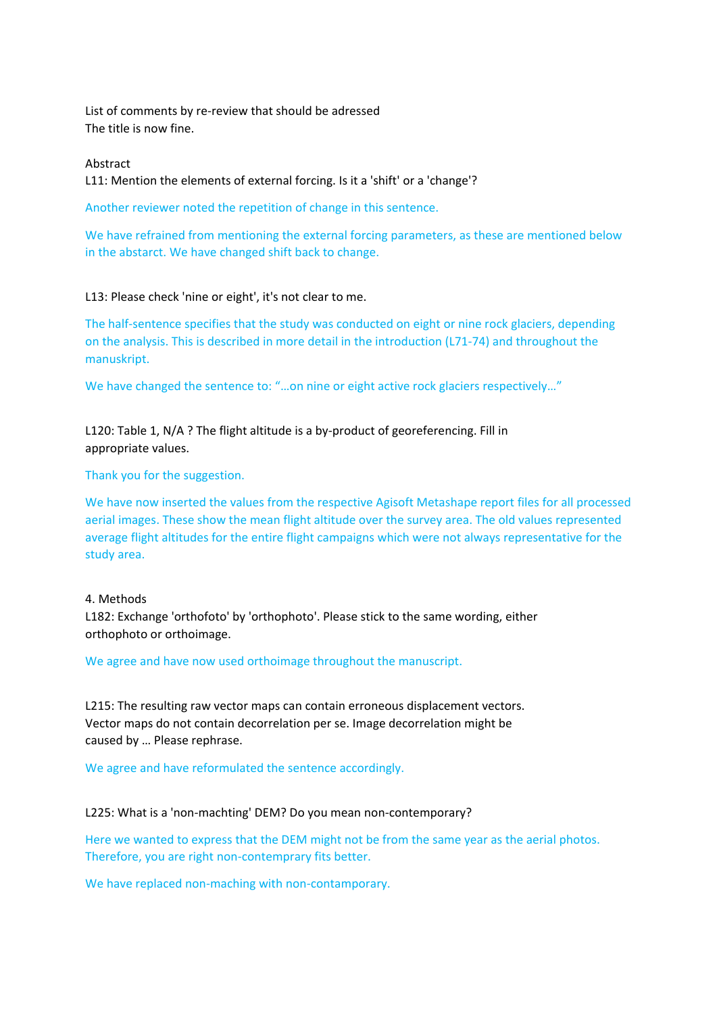List of comments by re-review that should be adressed The title is now fine.

### Abstract

L11: Mention the elements of external forcing. Is it a 'shift' or a 'change'?

Another reviewer noted the repetition of change in this sentence.

We have refrained from mentioning the external forcing parameters, as these are mentioned below in the abstarct. We have changed shift back to change.

L13: Please check 'nine or eight', it's not clear to me.

The half-sentence specifies that the study was conducted on eight or nine rock glaciers, depending on the analysis. This is described in more detail in the introduction (L71-74) and throughout the manuskript.

We have changed the sentence to: "...on nine or eight active rock glaciers respectively..."

L120: Table 1, N/A ? The flight altitude is a by-product of georeferencing. Fill in appropriate values.

Thank you for the suggestion.

We have now inserted the values from the respective Agisoft Metashape report files for all processed aerial images. These show the mean flight altitude over the survey area. The old values represented average flight altitudes for the entire flight campaigns which were not always representative for the study area.

## 4. Methods

L182: Exchange 'orthofoto' by 'orthophoto'. Please stick to the same wording, either orthophoto or orthoimage.

We agree and have now used orthoimage throughout the manuscript.

L215: The resulting raw vector maps can contain erroneous displacement vectors. Vector maps do not contain decorrelation per se. Image decorrelation might be caused by … Please rephrase.

We agree and have reformulated the sentence accordingly.

### L225: What is a 'non-machting' DEM? Do you mean non-contemporary?

Here we wanted to express that the DEM might not be from the same year as the aerial photos. Therefore, you are right non-contemprary fits better.

We have replaced non-maching with non-contamporary.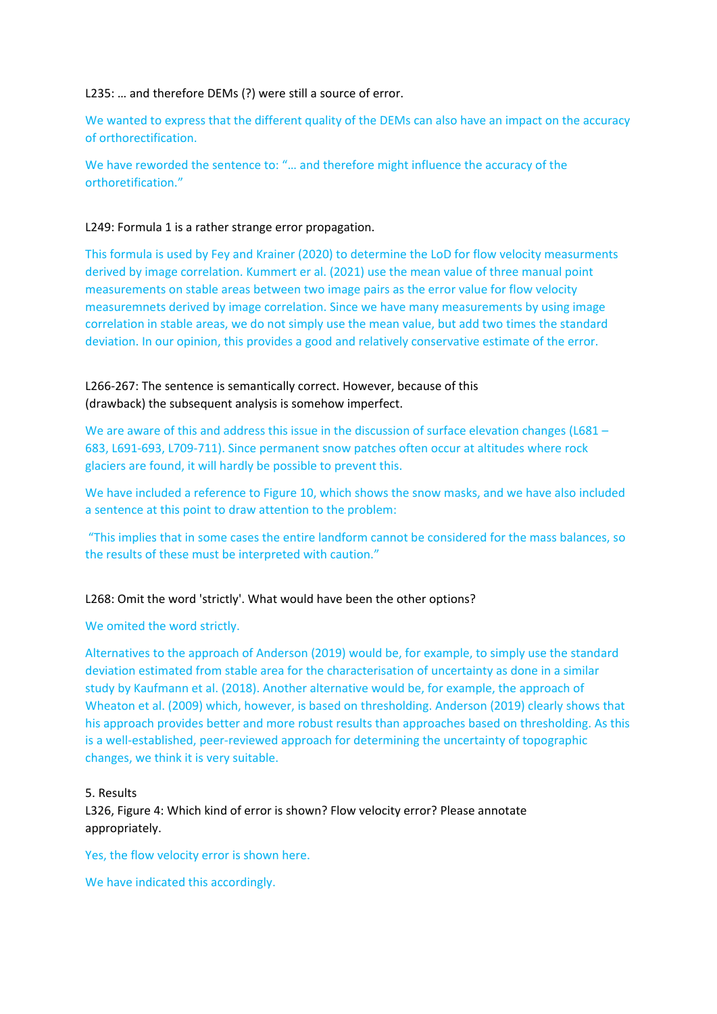## L235: … and therefore DEMs (?) were still a source of error.

We wanted to express that the different quality of the DEMs can also have an impact on the accuracy of orthorectification.

We have reworded the sentence to: "… and therefore might influence the accuracy of the orthoretification."

## L249: Formula 1 is a rather strange error propagation.

This formula is used by Fey and Krainer (2020) to determine the LoD for flow velocity measurments derived by image correlation. Kummert er al. (2021) use the mean value of three manual point measurements on stable areas between two image pairs as the error value for flow velocity measuremnets derived by image correlation. Since we have many measurements by using image correlation in stable areas, we do not simply use the mean value, but add two times the standard deviation. In our opinion, this provides a good and relatively conservative estimate of the error.

L266-267: The sentence is semantically correct. However, because of this (drawback) the subsequent analysis is somehow imperfect.

We are aware of this and address this issue in the discussion of surface elevation changes (L681 – 683, L691-693, L709-711). Since permanent snow patches often occur at altitudes where rock glaciers are found, it will hardly be possible to prevent this.

We have included a reference to Figure 10, which shows the snow masks, and we have also included a sentence at this point to draw attention to the problem:

"This implies that in some cases the entire landform cannot be considered for the mass balances, so the results of these must be interpreted with caution."

### L268: Omit the word 'strictly'. What would have been the other options?

## We omited the word strictly.

Alternatives to the approach of Anderson (2019) would be, for example, to simply use the standard deviation estimated from stable area for the characterisation of uncertainty as done in a similar study by Kaufmann et al. (2018). Another alternative would be, for example, the approach of Wheaton et al. (2009) which, however, is based on thresholding. Anderson (2019) clearly shows that his approach provides better and more robust results than approaches based on thresholding. As this is a well-established, peer-reviewed approach for determining the uncertainty of topographic changes, we think it is very suitable.

### 5. Results

L326, Figure 4: Which kind of error is shown? Flow velocity error? Please annotate appropriately.

Yes, the flow velocity error is shown here.

We have indicated this accordingly.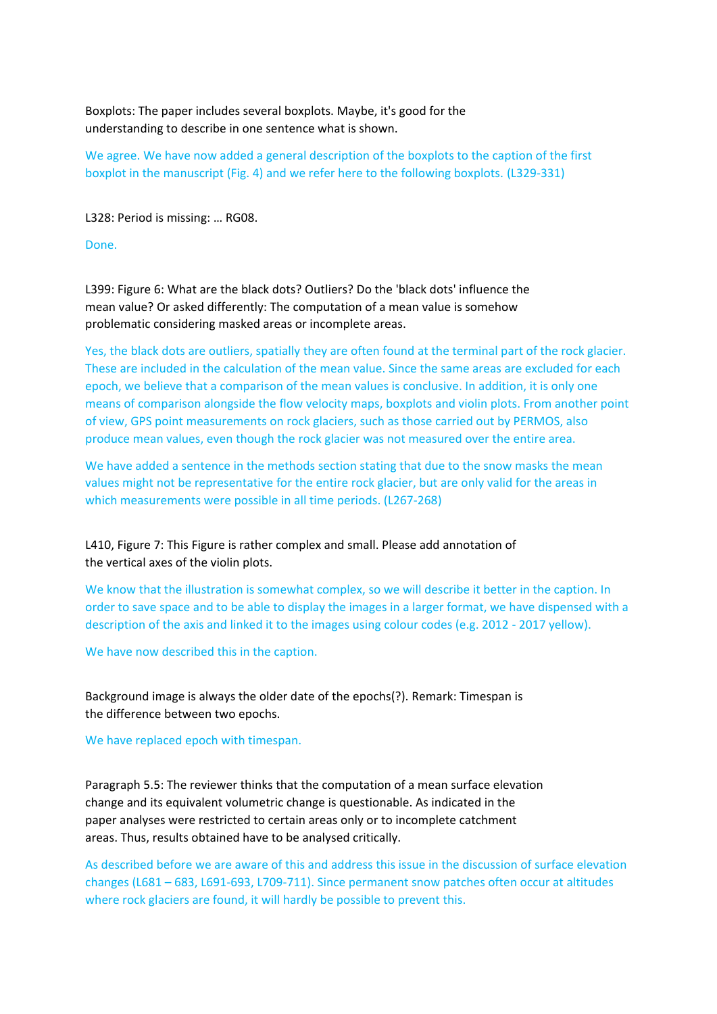Boxplots: The paper includes several boxplots. Maybe, it's good for the understanding to describe in one sentence what is shown.

We agree. We have now added a general description of the boxplots to the caption of the first boxplot in the manuscript (Fig. 4) and we refer here to the following boxplots. (L329-331)

L328: Period is missing: … RG08.

Done.

L399: Figure 6: What are the black dots? Outliers? Do the 'black dots' influence the mean value? Or asked differently: The computation of a mean value is somehow problematic considering masked areas or incomplete areas.

Yes, the black dots are outliers, spatially they are often found at the terminal part of the rock glacier. These are included in the calculation of the mean value. Since the same areas are excluded for each epoch, we believe that a comparison of the mean values is conclusive. In addition, it is only one means of comparison alongside the flow velocity maps, boxplots and violin plots. From another point of view, GPS point measurements on rock glaciers, such as those carried out by PERMOS, also produce mean values, even though the rock glacier was not measured over the entire area.

We have added a sentence in the methods section stating that due to the snow masks the mean values might not be representative for the entire rock glacier, but are only valid for the areas in which measurements were possible in all time periods. (L267-268)

L410, Figure 7: This Figure is rather complex and small. Please add annotation of the vertical axes of the violin plots.

We know that the illustration is somewhat complex, so we will describe it better in the caption. In order to save space and to be able to display the images in a larger format, we have dispensed with a description of the axis and linked it to the images using colour codes (e.g. 2012 - 2017 yellow).

We have now described this in the caption.

Background image is always the older date of the epochs(?). Remark: Timespan is the difference between two epochs.

We have replaced epoch with timespan.

Paragraph 5.5: The reviewer thinks that the computation of a mean surface elevation change and its equivalent volumetric change is questionable. As indicated in the paper analyses were restricted to certain areas only or to incomplete catchment areas. Thus, results obtained have to be analysed critically.

As described before we are aware of this and address this issue in the discussion of surface elevation changes (L681 – 683, L691-693, L709-711). Since permanent snow patches often occur at altitudes where rock glaciers are found, it will hardly be possible to prevent this.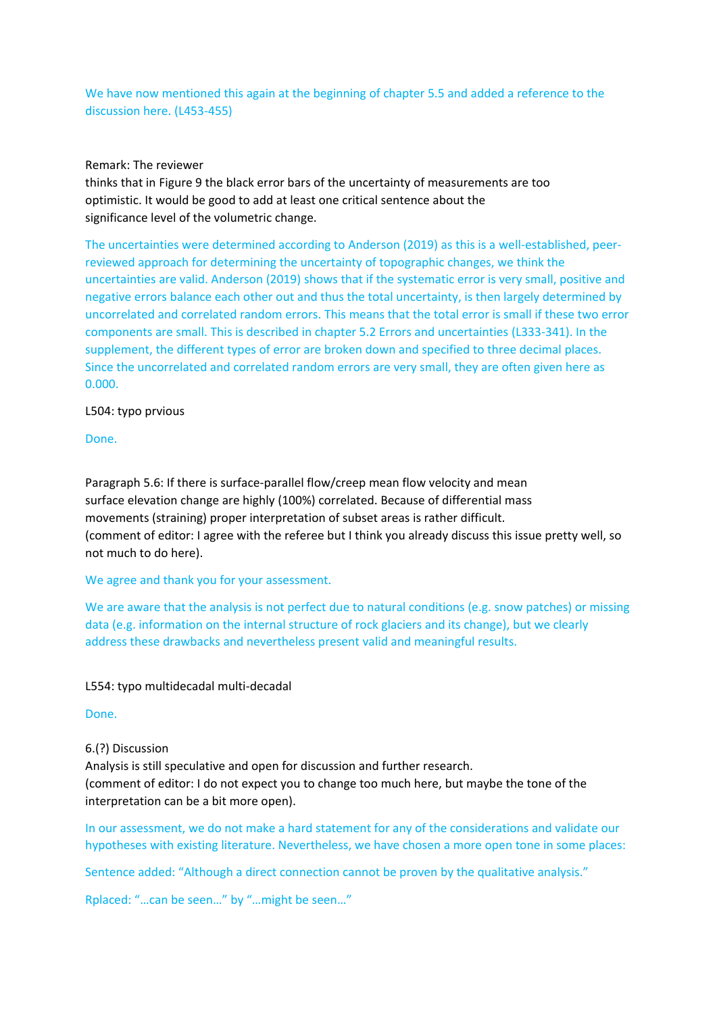We have now mentioned this again at the beginning of chapter 5.5 and added a reference to the discussion here. (L453-455)

### Remark: The reviewer

thinks that in Figure 9 the black error bars of the uncertainty of measurements are too optimistic. It would be good to add at least one critical sentence about the significance level of the volumetric change.

The uncertainties were determined according to Anderson (2019) as this is a well-established, peerreviewed approach for determining the uncertainty of topographic changes, we think the uncertainties are valid. Anderson (2019) shows that if the systematic error is very small, positive and negative errors balance each other out and thus the total uncertainty, is then largely determined by uncorrelated and correlated random errors. This means that the total error is small if these two error components are small. This is described in chapter 5.2 Errors and uncertainties (L333-341). In the supplement, the different types of error are broken down and specified to three decimal places. Since the uncorrelated and correlated random errors are very small, they are often given here as 0.000.

### L504: typo prvious

Done.

Paragraph 5.6: If there is surface-parallel flow/creep mean flow velocity and mean surface elevation change are highly (100%) correlated. Because of differential mass movements (straining) proper interpretation of subset areas is rather difficult. (comment of editor: I agree with the referee but I think you already discuss this issue pretty well, so not much to do here).

## We agree and thank you for your assessment.

We are aware that the analysis is not perfect due to natural conditions (e.g. snow patches) or missing data (e.g. information on the internal structure of rock glaciers and its change), but we clearly address these drawbacks and nevertheless present valid and meaningful results.

### L554: typo multidecadal multi-decadal

Done.

### 6.(?) Discussion

Analysis is still speculative and open for discussion and further research. (comment of editor: I do not expect you to change too much here, but maybe the tone of the interpretation can be a bit more open).

In our assessment, we do not make a hard statement for any of the considerations and validate our hypotheses with existing literature. Nevertheless, we have chosen a more open tone in some places:

Sentence added: "Although a direct connection cannot be proven by the qualitative analysis."

Rplaced: "…can be seen…" by "…might be seen…"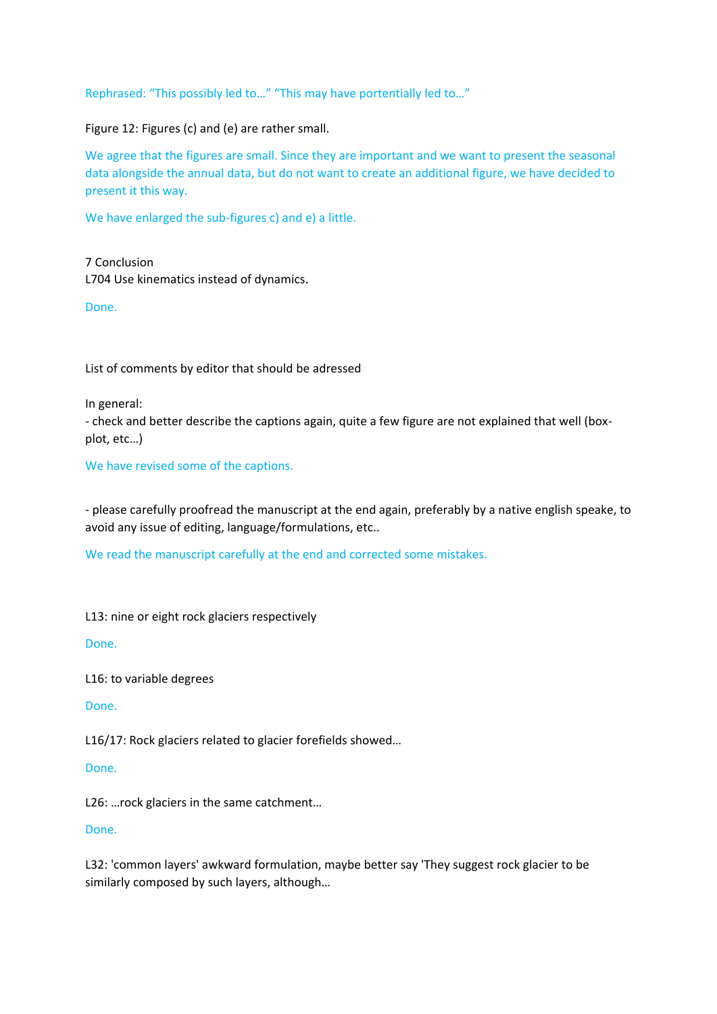Rephrased: "This possibly led to…" "This may have portentially led to…"

Figure 12: Figures (c) and (e) are rather small.

We agree that the figures are small. Since they are important and we want to present the seasonal data alongside the annual data, but do not want to create an additional figure, we have decided to present it this way.

We have enlarged the sub-figures c) and e) a little.

7 Conclusion L704 Use kinematics instead of dynamics.

Done.

List of comments by editor that should be adressed

In general:

- check and better describe the captions again, quite a few figure are not explained that well (boxplot, etc…)

We have revised some of the captions.

- please carefully proofread the manuscript at the end again, preferably by a native english speake, to avoid any issue of editing, language/formulations, etc..

We read the manuscript carefully at the end and corrected some mistakes.

L13: nine or eight rock glaciers respectively

Done.

L16: to variable degrees

Done.

L16/17: Rock glaciers related to glacier forefields showed…

Done.

L26: ... rock glaciers in the same catchment...

Done.

L32: 'common layers' awkward formulation, maybe better say 'They suggest rock glacier to be similarly composed by such layers, although…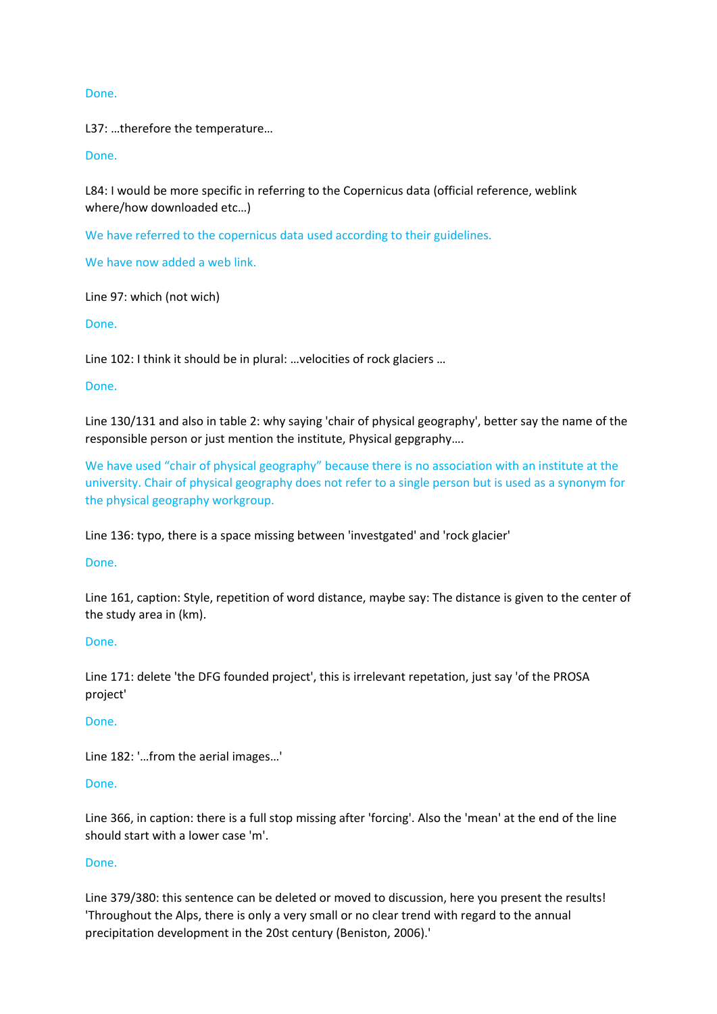## Done.

L37: …therefore the temperature…

Done.

L84: I would be more specific in referring to the Copernicus data (official reference, weblink where/how downloaded etc…)

We have referred to the copernicus data used according to their guidelines.

We have now added a web link.

Line 97: which (not wich)

Done.

Line 102: I think it should be in plural: …velocities of rock glaciers …

Done.

Line 130/131 and also in table 2: why saying 'chair of physical geography', better say the name of the responsible person or just mention the institute, Physical gepgraphy….

We have used "chair of physical geography" because there is no association with an institute at the university. Chair of physical geography does not refer to a single person but is used as a synonym for the physical geography workgroup.

Line 136: typo, there is a space missing between 'investgated' and 'rock glacier'

Done.

Line 161, caption: Style, repetition of word distance, maybe say: The distance is given to the center of the study area in (km).

## Done.

Line 171: delete 'the DFG founded project', this is irrelevant repetation, just say 'of the PROSA project'

Done.

Line 182: '…from the aerial images…'

Done.

Line 366, in caption: there is a full stop missing after 'forcing'. Also the 'mean' at the end of the line should start with a lower case 'm'.

## Done.

Line 379/380: this sentence can be deleted or moved to discussion, here you present the results! 'Throughout the Alps, there is only a very small or no clear trend with regard to the annual precipitation development in the 20st century (Beniston, 2006).'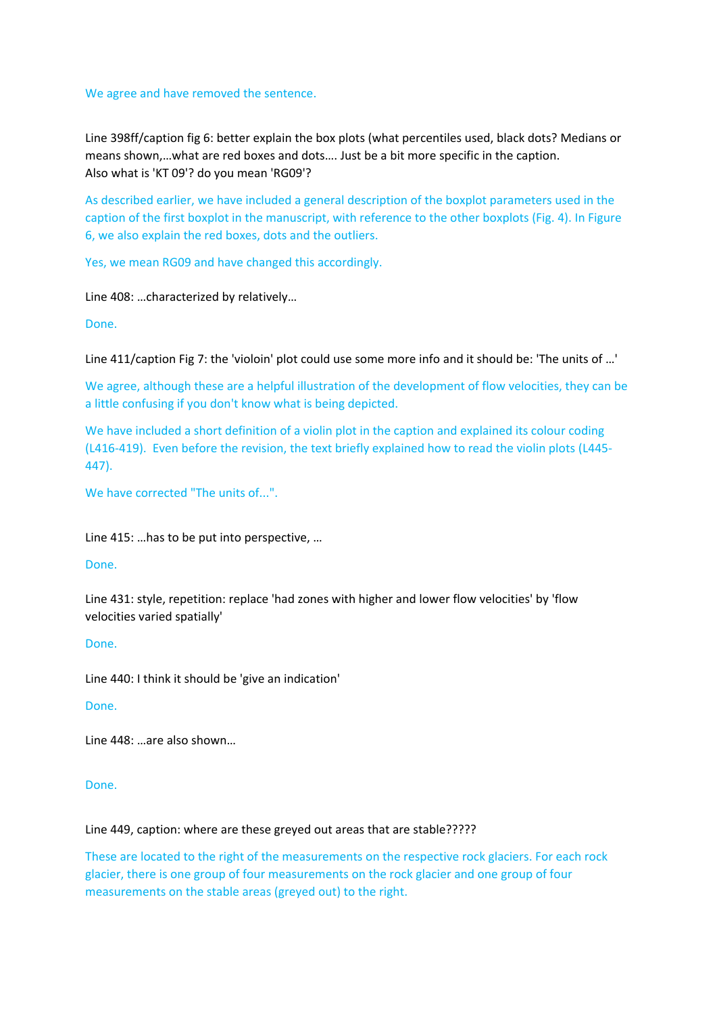We agree and have removed the sentence.

Line 398ff/caption fig 6: better explain the box plots (what percentiles used, black dots? Medians or means shown,…what are red boxes and dots…. Just be a bit more specific in the caption. Also what is 'KT 09'? do you mean 'RG09'?

As described earlier, we have included a general description of the boxplot parameters used in the caption of the first boxplot in the manuscript, with reference to the other boxplots (Fig. 4). In Figure 6, we also explain the red boxes, dots and the outliers.

Yes, we mean RG09 and have changed this accordingly.

Line 408: …characterized by relatively…

Done.

Line 411/caption Fig 7: the 'violoin' plot could use some more info and it should be: 'The units of …'

We agree, although these are a helpful illustration of the development of flow velocities, they can be a little confusing if you don't know what is being depicted.

We have included a short definition of a violin plot in the caption and explained its colour coding (L416-419). Even before the revision, the text briefly explained how to read the violin plots (L445- 447).

We have corrected "The units of...".

Line 415: …has to be put into perspective, …

Done.

Line 431: style, repetition: replace 'had zones with higher and lower flow velocities' by 'flow velocities varied spatially'

Done.

Line 440: I think it should be 'give an indication'

Done.

Line 448: …are also shown…

Done.

### Line 449, caption: where are these greyed out areas that are stable?????

These are located to the right of the measurements on the respective rock glaciers. For each rock glacier, there is one group of four measurements on the rock glacier and one group of four measurements on the stable areas (greyed out) to the right.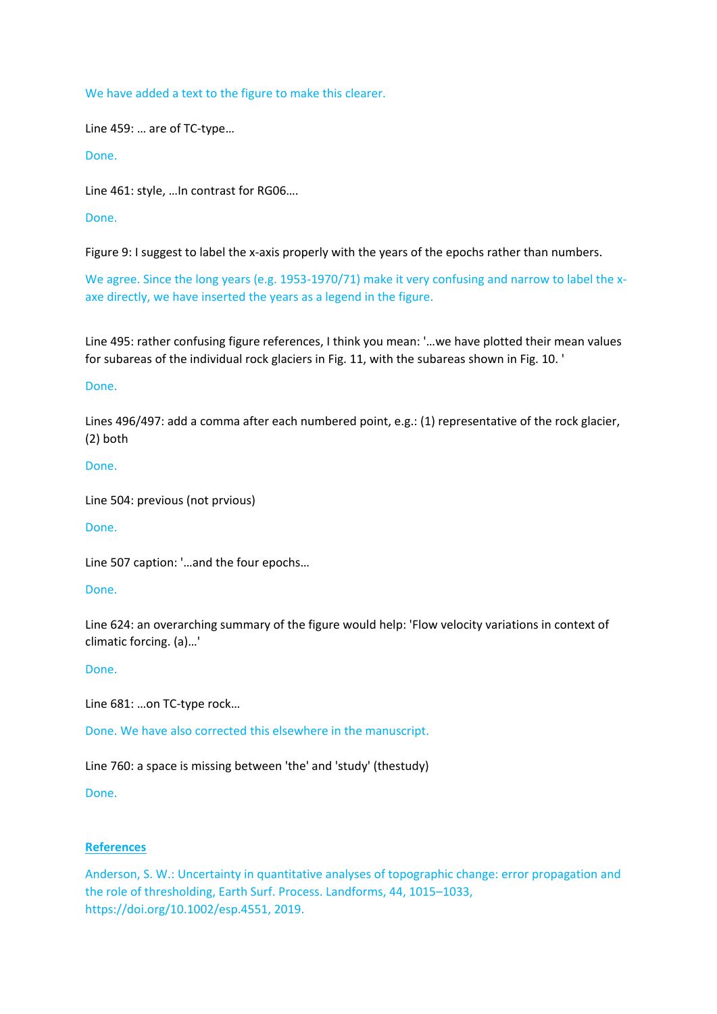We have added a text to the figure to make this clearer.

Line 459: … are of TC-type…

Done.

Line 461: style, …In contrast for RG06….

Done.

Figure 9: I suggest to label the x-axis properly with the years of the epochs rather than numbers.

We agree. Since the long years (e.g. 1953-1970/71) make it very confusing and narrow to label the xaxe directly, we have inserted the years as a legend in the figure.

Line 495: rather confusing figure references, I think you mean: '…we have plotted their mean values for subareas of the individual rock glaciers in Fig. 11, with the subareas shown in Fig. 10. '

Done.

Lines 496/497: add a comma after each numbered point, e.g.: (1) representative of the rock glacier, (2) both

Done.

Line 504: previous (not prvious)

Done.

Line 507 caption: '…and the four epochs…

Done.

Line 624: an overarching summary of the figure would help: 'Flow velocity variations in context of climatic forcing. (a)…'

Done.

Line 681: …on TC-type rock…

Done. We have also corrected this elsewhere in the manuscript.

Line 760: a space is missing between 'the' and 'study' (thestudy)

Done.

# **References**

Anderson, S. W.: Uncertainty in quantitative analyses of topographic change: error propagation and the role of thresholding, Earth Surf. Process. Landforms, 44, 1015–1033, https://doi.org/10.1002/esp.4551, 2019.